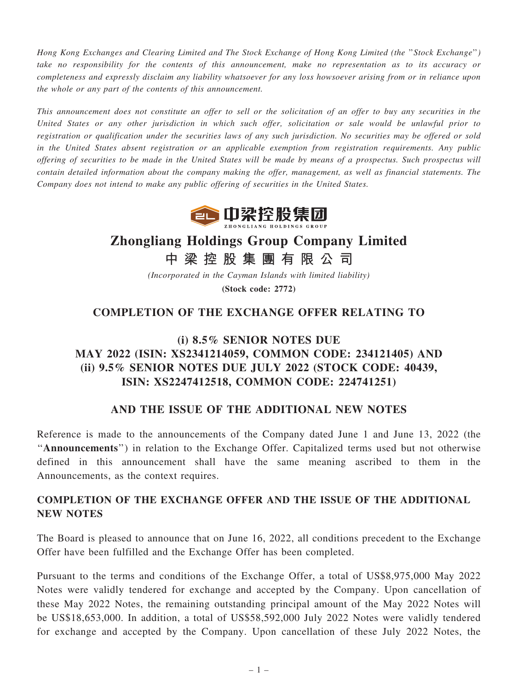Hong Kong Exchanges and Clearing Limited and The Stock Exchange of Hong Kong Limited (the ''Stock Exchange'') take no responsibility for the contents of this announcement, make no representation as to its accuracy or completeness and expressly disclaim any liability whatsoever for any loss howsoever arising from or in reliance upon the whole or any part of the contents of this announcement.

This announcement does not constitute an offer to sell or the solicitation of an offer to buy any securities in the United States or any other jurisdiction in which such offer, solicitation or sale would be unlawful prior to registration or qualification under the securities laws of any such jurisdiction. No securities may be offered or sold in the United States absent registration or an applicable exemption from registration requirements. Any public offering of securities to be made in the United States will be made by means of a prospectus. Such prospectus will contain detailed information about the company making the offer, management, as well as financial statements. The Company does not intend to make any public offering of securities in the United States.



# Zhongliang Holdings Group Company Limited

中 梁 控 股 集 團 有 限 公 司

(Incorporated in the Cayman Islands with limited liability) (Stock code: 2772)

## COMPLETION OF THE EXCHANGE OFFER RELATING TO

# (i) 8.5% SENIOR NOTES DUE MAY 2022 (ISIN: XS2341214059, COMMON CODE: 234121405) AND (ii) 9.5% SENIOR NOTES DUE JULY 2022 (STOCK CODE: 40439, ISIN: XS2247412518, COMMON CODE: 224741251)

#### AND THE ISSUE OF THE ADDITIONAL NEW NOTES

Reference is made to the announcements of the Company dated June 1 and June 13, 2022 (the "Announcements") in relation to the Exchange Offer. Capitalized terms used but not otherwise defined in this announcement shall have the same meaning ascribed to them in the Announcements, as the context requires.

### COMPLETION OF THE EXCHANGE OFFER AND THE ISSUE OF THE ADDITIONAL NEW NOTES

The Board is pleased to announce that on June 16, 2022, all conditions precedent to the Exchange Offer have been fulfilled and the Exchange Offer has been completed.

Pursuant to the terms and conditions of the Exchange Offer, a total of US\$8,975,000 May 2022 Notes were validly tendered for exchange and accepted by the Company. Upon cancellation of these May 2022 Notes, the remaining outstanding principal amount of the May 2022 Notes will be US\$18,653,000. In addition, a total of US\$58,592,000 July 2022 Notes were validly tendered for exchange and accepted by the Company. Upon cancellation of these July 2022 Notes, the